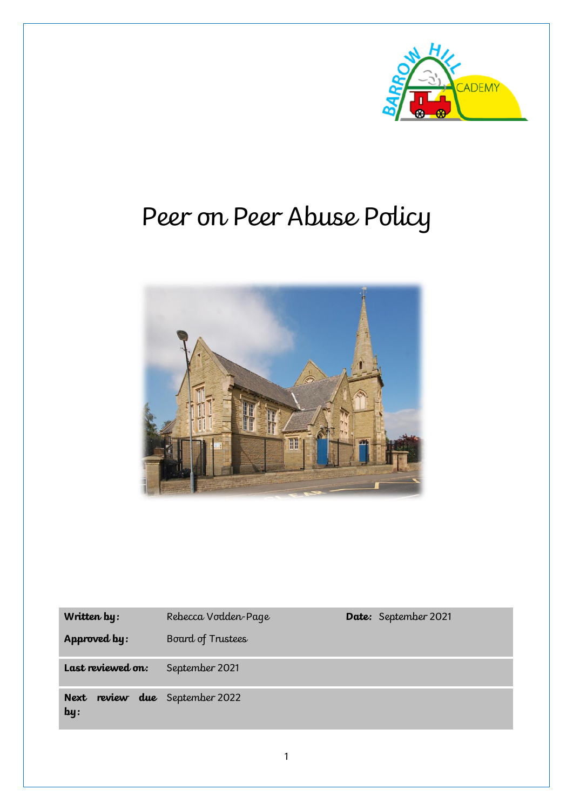

# Peer on Peer Abuse Policy



| Written by: | Rebecca Vodden-Page |
|-------------|---------------------|
|-------------|---------------------|

**Approved by:** Board of Trustees

**Last reviewed on:** September 2021

**Next review due**  September 2022**by:**

**Date:** September 2021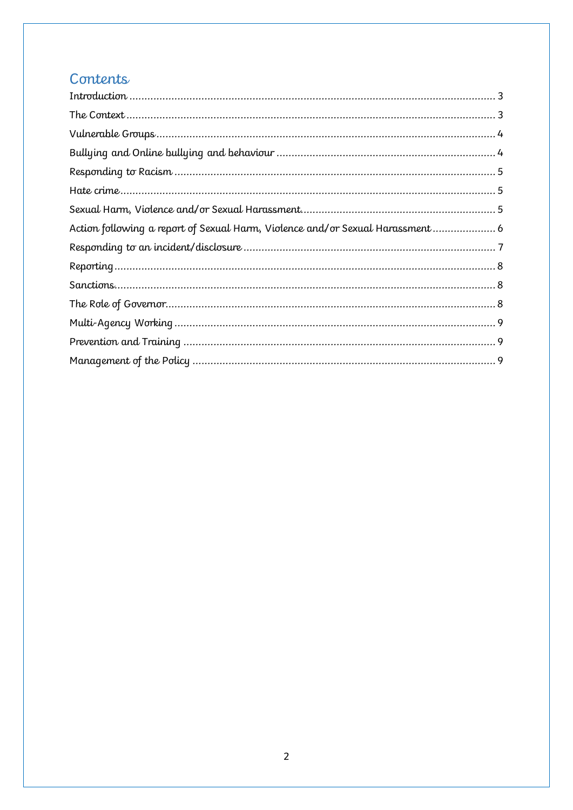# Contents

| Action following a report of Sexual Harm, Violence and/or Sexual Harassment 6 |  |
|-------------------------------------------------------------------------------|--|
|                                                                               |  |
|                                                                               |  |
|                                                                               |  |
|                                                                               |  |
|                                                                               |  |
|                                                                               |  |
|                                                                               |  |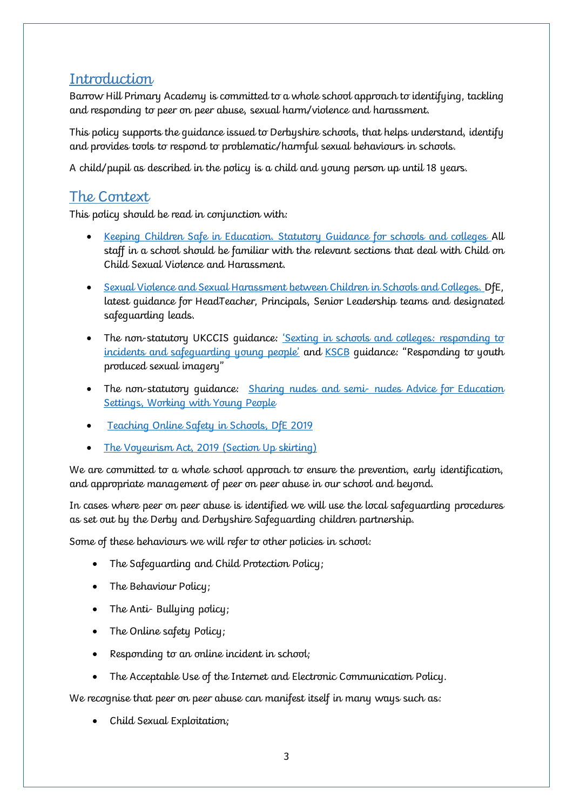## <span id="page-2-0"></span>**Introduction**

Barrow Hill Primary Academy is committed to a whole school approach to identifying, tackling and responding to peer on peer abuse, sexual harm/violence and harassment.

This policy supports the guidance issued to Derbyshire schools, that helps understand, identify and provides tools to respond to problematic/harmful sexual behaviours in schools.

A child/pupil as described in the policy is a child and young person up until 18 years.

## <span id="page-2-1"></span>The Context

This policy should be read in conjunction with:

- [Keeping Children Safe in Education. Statutory Guidance for schools and colleges A](https://www.gov.uk/government/publications/keeping-children-safe-in-education--2)ll staff in a school should be familiar with the relevant sections that deal with Child on Child Sexual Violence and Harassment.
- [Sexual Violence and Sexual Harassment between Children in Schools and Colleges. D](https://www.gov.uk/government/publications/sexual-violence-and-sexual-harassment-between-children-in-schools-and-colleges)fE, latest guidance for HeadTeacher, Principals, Senior Leadership teams and designated safeguarding leads.
- The non-statutory UKCCIS quidance: 'Sexting in schools and colleges: responding to [incidents and safeguarding young people'](https://www.gov.uk/government/groups/uk-council-for-child-internet-safety-ukccis) and [KSCB](http://www.kscb.org.uk/guidance/online-safety) guidance: "Responding to youth produced sexual imagery"
- The non-statutory quidance: Sharing nudes and semi- nudes Advice for Education [Settings, Working with Young People](•%09https:/www.gov.uk/government/publications/sharing-nudes-and-semi-nudes-advice-for-education-settings-working-with-children-and-young-people)
- [Teaching Online Safety in Schools, DfE](https://www.gov.uk/government/publications/teaching-online-safety-in-schools) 2019
- [The Voyeurism Act, 2019 \(Section](https://www.gov.uk/government/publications/implementation-of-the-voyeurism-offences-act-2019) Up skirting)

We are committed to a whole school approach to ensure the prevention, early identification, and appropriate management of peer on peer abuse in our school and beyond.

In cases where peer on peer abuse is identified we will use the local safeguarding procedures as set out by the Derby and Derbyshire Safeguarding children partnership.

Some of these behaviours we will refer to other policies in school:

- The Safeguarding and Child Protection Policy;
- The Behaviour Policy;
- The Anti- Bullying policy;
- The Online safety Policy;
- Responding to an online incident in school;
- The Acceptable Use of the Internet and Electronic Communication Policy.

We recognise that peer on peer abuse can manifest itself in many ways such as:

• Child Sexual Exploitation;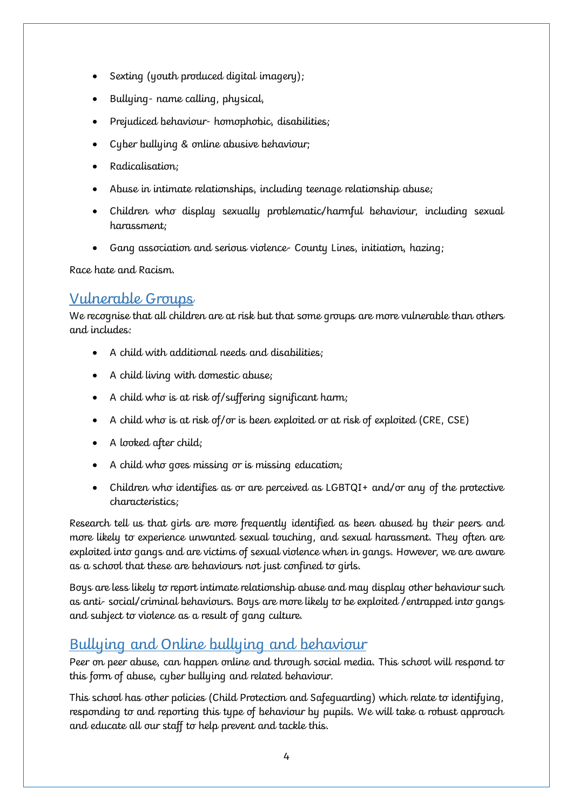- Sexting (youth produced digital imagery);
- Bullying- name calling, physical,
- Prejudiced behaviour- homophobic, disabilities;
- Cyber bullying & online abusive behaviour;
- Radicalisation;
- Abuse in intimate relationships, including teenage relationship abuse;
- Children who display sexually problematic/harmful behaviour, including sexual harassment;
- Gang association and serious violence- County Lines, initiation, hazing;

Race hate and Racism.

#### <span id="page-3-0"></span>Vulnerable Groups

We recognise that all children are at risk but that some groups are more vulnerable than others and includes:

- A child with additional needs and disabilities;
- A child living with domestic abuse;
- A child who is at risk of/suffering significant harm;
- A child who is at risk of/or is been exploited or at risk of exploited (CRE, CSE)
- A looked after child;
- A child who goes missing or is missing education;
- Children who identifies as or are perceived as LGBTQI+ and/or any of the protective characteristics;

Research tell us that girls are more frequently identified as been abused by their peers and more likely to experience unwanted sexual touching, and sexual harassment. They often are exploited into gangs and are victims of sexual violence when in gangs. However, we are aware as a school that these are behaviours not just confined to girls.

Boys are less likely to report intimate relationship abuse and may display other behaviour such as anti- social/criminal behaviours. Boys are more likely to be exploited /entrapped into gangs and subject to violence as a result of gang culture.

## <span id="page-3-1"></span>Bullying and Online bullying and behaviour

Peer on peer abuse, can happen online and through social media. This school will respond to this form of abuse, cyber bullying and related behaviour.

This school has other policies (Child Protection and Safeguarding) which relate to identifying, responding to and reporting this type of behaviour by pupils. We will take a robust approach and educate all our staff to help prevent and tackle this.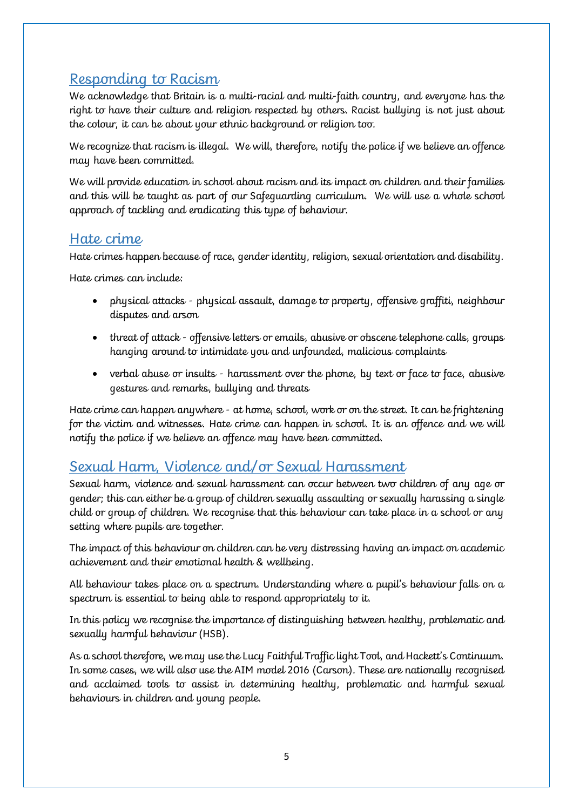## <span id="page-4-0"></span>Responding to Racism

We acknowledge that Britain is a multi-racial and multi-faith country, and everyone has the right to have their culture and religion respected by others. Racist bullying is not just about the colour, it can be about your ethnic background or religion too.

We recognize that racism is illegal. We will, therefore, notify the police if we believe an offence may have been committed.

We will provide education in school about racism and its impact on children and their families and this will be taught as part of our Safeguarding curriculum. We will use a whole school approach of tackling and eradicating this type of behaviour.

#### <span id="page-4-1"></span>Hate crime

Hate crimes happen because of race, gender identity, religion, sexual orientation and disability.

Hate crimes can include:

- physical attacks physical assault, damage to property, offensive graffiti, neighbour disputes and arson
- threat of attack offensive letters or emails, abusive or obscene telephone calls, groups hanging around to intimidate you and unfounded, malicious complaints
- verbal abuse or insults harassment over the phone, by text or face to face, abusive gestures and remarks, bullying and threats

Hate crime can happen anywhere - at home, school, work or on the street. It can be frightening for the victim and witnesses. Hate crime can happen in school. It is an offence and we will notify the police if we believe an offence may have been committed.

## <span id="page-4-2"></span>Sexual Harm, Violence and/or Sexual Harassment

Sexual harm, violence and sexual harassment can occur between two children of any age or gender; this can either be a group of children sexually assaulting or sexually harassing a single child or group of children. We recognise that this behaviour can take place in a school or any setting where pupils are together.

The impact of this behaviour on children can be very distressing having an impact on academic achievement and their emotional health & wellbeing.

All behaviour takes place on a spectrum. Understanding where a pupil's behaviour falls on a spectrum is essential to being able to respond appropriately to it.

In this policy we recognise the importance of distinguishing between healthy, problematic and sexually harmful behaviour (HSB).

As a school therefore, we may use the Lucy Faithful Traffic light Tool, and Hackett's Continuum. In some cases, we will also use the AIM model 2016 (Carson). These are nationally recognised and acclaimed tools to assist in determining healthy, problematic and harmful sexual behaviours in children and young people.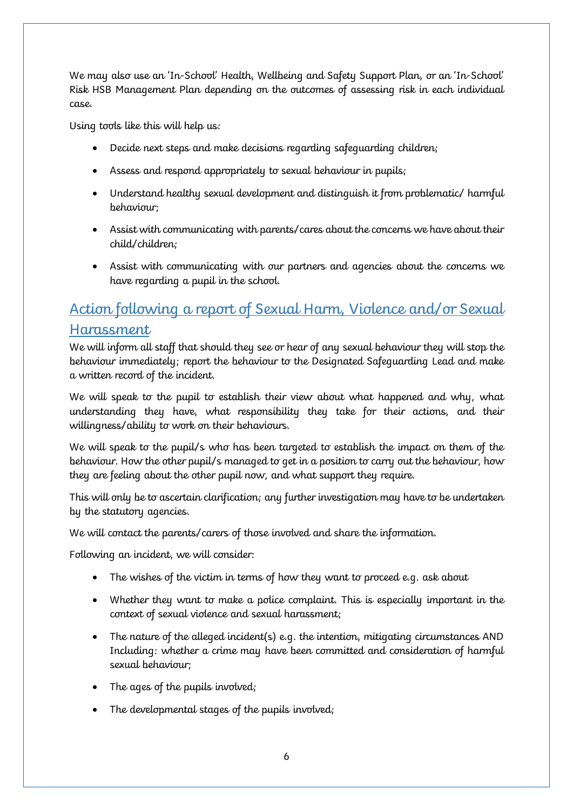We may also use an 'In-School' Health, Wellbeing and Safety Support Plan, or an 'In-School' Risk HSB Management Plan depending on the outcomes of assessing risk in each individual case.

Using tools like this will help us:

- Decide next steps and make decisions regarding safeguarding children;
- Assess and respond appropriately to sexual behaviour in pupils;
- Understand healthy sexual development and distinguish it from problematic/ harmful behaviour;
- Assist with communicating with parents/cares about the concerns we have about their child/children;
- Assist with communicating with our partners and agencies about the concerns we have regarding a pupil in the school.

## <span id="page-5-0"></span>Action following a report of Sexual Harm, Violence and/or Sexual Harassment

We will inform all staff that should they see or hear of any sexual behaviour they will stop the behaviour immediately; report the behaviour to the Designated Safeguarding Lead and make a written record of the incident.

We will speak to the pupil to establish their view about what happened and why, what understanding they have, what responsibility they take for their actions, and their willingness/ability to work on their behaviours.

We will speak to the pupil/s who has been targeted to establish the impact on them of the behaviour. How the other pupil/s managed to get in a position to carry out the behaviour, how they are feeling about the other pupil now, and what support they require.

This will only be to ascertain clarification; any further investigation may have to be undertaken by the statutory agencies.

We will contact the parents/carers of those involved and share the information.

Following an incident, we will consider:

- The wishes of the victim in terms of how they want to proceed e.g. ask about
- Whether they want to make a police complaint. This is especially important in the context of sexual violence and sexual harassment;
- The nature of the alleged incident(s) e.g. the intention, mitigating circumstances AND Including: whether a crime may have been committed and consideration of harmful sexual behaviour;
- The ages of the pupils involved;
- The developmental stages of the pupils involved;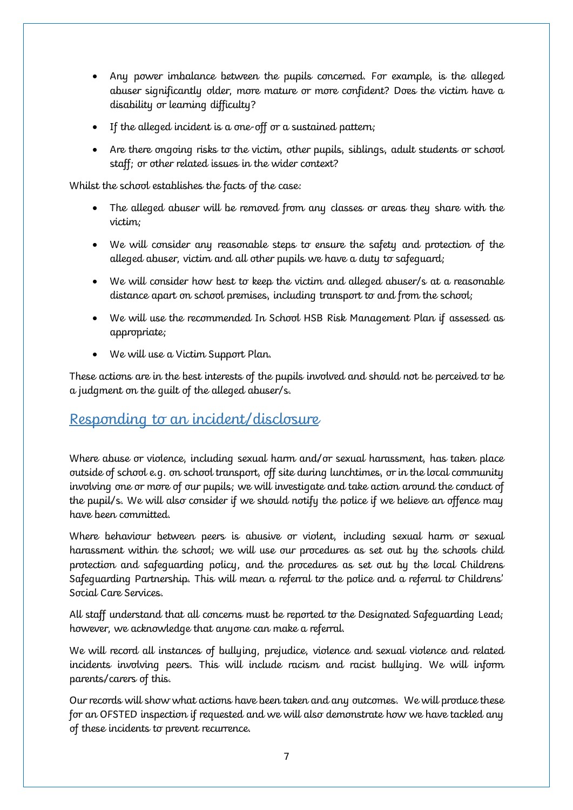- Any power imbalance between the pupils concerned. For example, is the alleged abuser significantly older, more mature or more confident? Does the victim have a disability or learning difficulty?
- If the alleged incident is a one-off or a sustained pattern;
- Are there ongoing risks to the victim, other pupils, siblings, adult students or school staff; or other related issues in the wider context?

Whilst the school establishes the facts of the case:

- The alleged abuser will be removed from any classes or areas they share with the victim;
- We will consider any reasonable steps to ensure the safety and protection of the alleged abuser, victim and all other pupils we have a duty to safeguard;
- We will consider how best to keep the victim and alleged abuser/s at a reasonable distance apart on school premises, including transport to and from the school;
- We will use the recommended In School HSB Risk Management Plan if assessed as appropriate;
- We will use a Victim Support Plan.

These actions are in the best interests of the pupils involved and should not be perceived to be a judgment on the guilt of the alleged abuser/s.

## <span id="page-6-0"></span>Responding to an incident/disclosure

Where abuse or violence, including sexual harm and/or sexual harassment, has taken place outside of school e.g. on school transport, off site during lunchtimes, or in the local community involving one or more of our pupils; we will investigate and take action around the conduct of the pupil/s. We will also consider if we should notify the police if we believe an offence may have been committed.

Where behaviour between peers is abusive or violent, including sexual harm or sexual harassment within the school; we will use our procedures as set out by the schools child protection and safeguarding policy, and the procedures as set out by the local Childrens Safeguarding Partnership. This will mean a referral to the police and a referral to Childrens' Social Care Services.

All staff understand that all concerns must be reported to the Designated Safeguarding Lead; however, we acknowledge that anyone can make a referral.

We will record all instances of bullying, prejudice, violence and sexual violence and related incidents involving peers. This will include racism and racist bullying. We will inform parents/carers of this.

Our records will show what actions have been taken and any outcomes. We will produce these for an OFSTED inspection if requested and we will also demonstrate how we have tackled any of these incidents to prevent recurrence.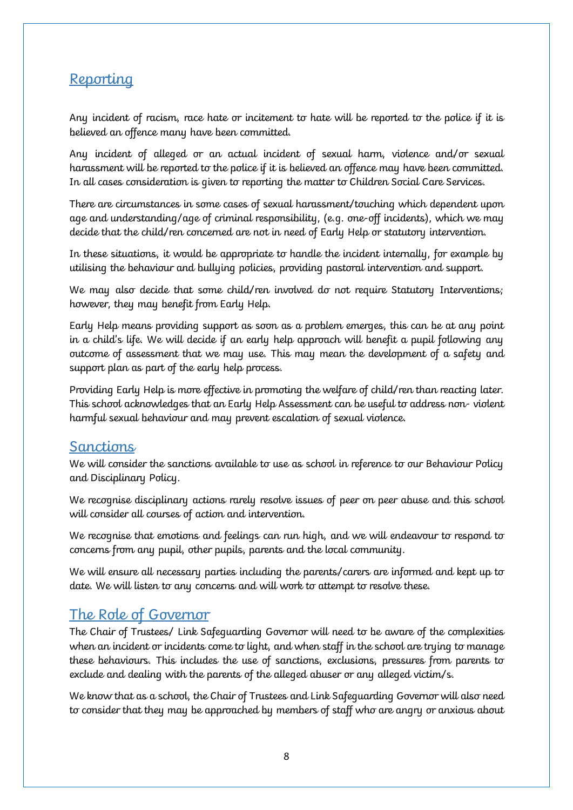#### <span id="page-7-0"></span>Reporting

Any incident of racism, race hate or incitement to hate will be reported to the police if it is believed an offence many have been committed.

Any incident of alleged or an actual incident of sexual harm, violence and/or sexual harassment will be reported to the police if it is believed an offence may have been committed. In all cases consideration is given to reporting the matter to Children Social Care Services.

There are circumstances in some cases of sexual harassment/touching which dependent upon age and understanding/age of criminal responsibility, (e.g. one-off incidents), which we may decide that the child/ren concerned are not in need of Early Help or statutory intervention.

In these situations, it would be appropriate to handle the incident internally, for example by utilising the behaviour and bullying policies, providing pastoral intervention and support.

We may also decide that some child/ren involved do not require Statutory Interventions; however, they may benefit from Early Help.

Early Help means providing support as soon as a problem emerges, this can be at any point in a child's life. We will decide if an early help approach will benefit a pupil following any outcome of assessment that we may use. This may mean the development of a safety and support plan as part of the early help process.

Providing Early Help is more effective in promoting the welfare of child/ren than reacting later. This school acknowledges that an Early Help Assessment can be useful to address non- violent harmful sexual behaviour and may prevent escalation of sexual violence.

#### <span id="page-7-1"></span>**Sanctions**

We will consider the sanctions available to use as school in reference to our Behaviour Policy and Disciplinary Policy.

We recognise disciplinary actions rarely resolve issues of peer on peer abuse and this school will consider all courses of action and intervention.

We recognise that emotions and feelings can run high, and we will endeavour to respond to concerns from any pupil, other pupils, parents and the local community.

We will ensure all necessary parties including the parents/carers are informed and kept up to date. We will listen to any concerns and will work to attempt to resolve these.

## <span id="page-7-2"></span>The Role of Governor

The Chair of Trustees/ Link Safeguarding Governor will need to be aware of the complexities when an incident or incidents come to light, and when staff in the school are trying to manage these behaviours. This includes the use of sanctions, exclusions, pressures from parents to exclude and dealing with the parents of the alleged abuser or any alleged victim/s.

We know that as a school, the Chair of Trustees and Link Safeguarding Governor will also need to consider that they may be approached by members of staff who are angry or anxious about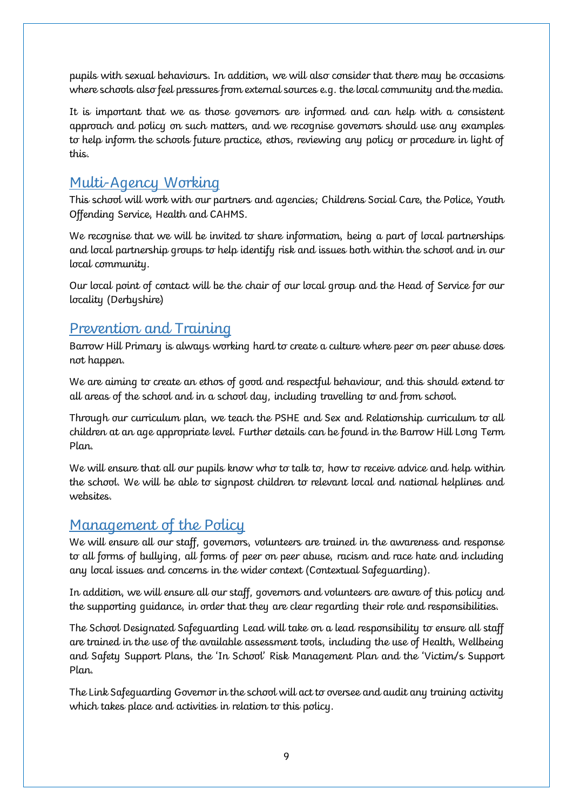pupils with sexual behaviours. In addition, we will also consider that there may be occasions where schools also feel pressures from external sources e.g. the local community and the media.

It is important that we as those governors are informed and can help with a consistent approach and policy on such matters, and we recognise governors should use any examples to help inform the schools future practice, ethos, reviewing any policy or procedure in light of this.

## <span id="page-8-0"></span>Multi-Agency Working

This school will work with our partners and agencies; Childrens Social Care, the Police, Youth Offending Service, Health and CAHMS.

We recognise that we will be invited to share information, being a part of local partnerships and local partnership groups to help identify risk and issues both within the school and in our local community.

Our local point of contact will be the chair of our local group and the Head of Service for our locality (Derbyshire)

## <span id="page-8-1"></span>Prevention and Training

Barrow Hill Primary is always working hard to create a culture where peer on peer abuse does not happen.

We are aiming to create an ethos of good and respectful behaviour, and this should extend to all areas of the school and in a school day, including travelling to and from school.

Through our curriculum plan, we teach the PSHE and Sex and Relationship curriculum to all children at an age appropriate level. Further details can be found in the Barrow Hill Long Term Plan.

We will ensure that all our pupils know who to talk to, how to receive advice and help within the school. We will be able to signpost children to relevant local and national helplines and websites.

## <span id="page-8-2"></span>Management of the Policy

We will ensure all our staff, governors, volunteers are trained in the awareness and response to all forms of bullying, all forms of peer on peer abuse, racism and race hate and including any local issues and concerns in the wider context (Contextual Safeguarding).

In addition, we will ensure all our staff, governors and volunteers are aware of this policy and the supporting guidance, in order that they are clear regarding their role and responsibilities.

The School Designated Safeguarding Lead will take on a lead responsibility to ensure all staff are trained in the use of the available assessment tools, including the use of Health, Wellbeing and Safety Support Plans, the 'In School' Risk Management Plan and the 'Victim/s Support Plan.

The Link Safeguarding Governor in the school will act to oversee and audit any training activity which takes place and activities in relation to this policy.